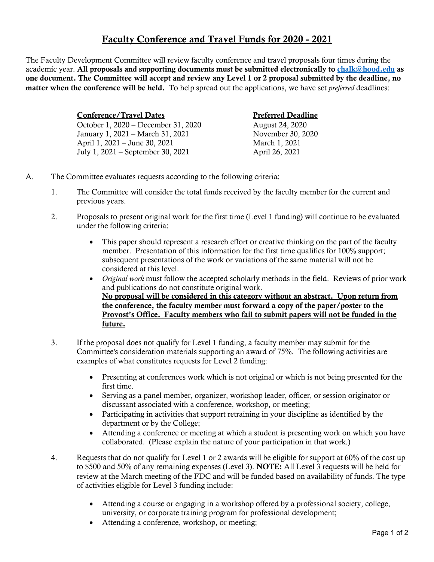## Faculty Conference and Travel Funds for 2020 - 2021

The Faculty Development Committee will review faculty conference and travel proposals four times during the academic year. All proposals and supporting documents must be submitted electronically to chalk@hood.edu as one document. The Committee will accept and review any Level 1 or 2 proposal submitted by the deadline, no matter when the conference will be held. To help spread out the applications, we have set *preferred* deadlines:

| <b>Conference/Travel Dates</b>      | <b>Preferred Deadline</b> |
|-------------------------------------|---------------------------|
| October 1, 2020 – December 31, 2020 | <b>August 24, 2020</b>    |
| January 1, 2021 – March 31, 2021    | November 30, 2020         |
| April 1, 2021 – June 30, 2021       | March 1, 2021             |
| July 1, 2021 – September 30, 2021   | April 26, 2021            |

- A. The Committee evaluates requests according to the following criteria:
	- 1. The Committee will consider the total funds received by the faculty member for the current and previous years.
	- 2. Proposals to present original work for the first time (Level 1 funding) will continue to be evaluated under the following criteria:
		- This paper should represent a research effort or creative thinking on the part of the faculty member. Presentation of this information for the first time qualifies for 100% support; subsequent presentations of the work or variations of the same material will not be considered at this level.
		- *Original work* must follow the accepted scholarly methods in the field. Reviews of prior work and publications do not constitute original work. No proposal will be considered in this category without an abstract. Upon return from the conference, the faculty member must forward a copy of the paper/poster to the Provost's Office. Faculty members who fail to submit papers will not be funded in the future.
	- 3. If the proposal does not qualify for Level 1 funding, a faculty member may submit for the Committee's consideration materials supporting an award of 75%. The following activities are examples of what constitutes requests for Level 2 funding:
		- Presenting at conferences work which is not original or which is not being presented for the first time.
		- Serving as a panel member, organizer, workshop leader, officer, or session originator or discussant associated with a conference, workshop, or meeting;
		- Participating in activities that support retraining in your discipline as identified by the department or by the College;
		- Attending a conference or meeting at which a student is presenting work on which you have collaborated. (Please explain the nature of your participation in that work.)
	- 4. Requests that do not qualify for Level 1 or 2 awards will be eligible for support at 60% of the cost up to \$500 and 50% of any remaining expenses (Level 3). NOTE: All Level 3 requests will be held for review at the March meeting of the FDC and will be funded based on availability of funds. The type of activities eligible for Level 3 funding include:
		- Attending a course or engaging in a workshop offered by a professional society, college, university, or corporate training program for professional development;
		- Attending a conference, workshop, or meeting;